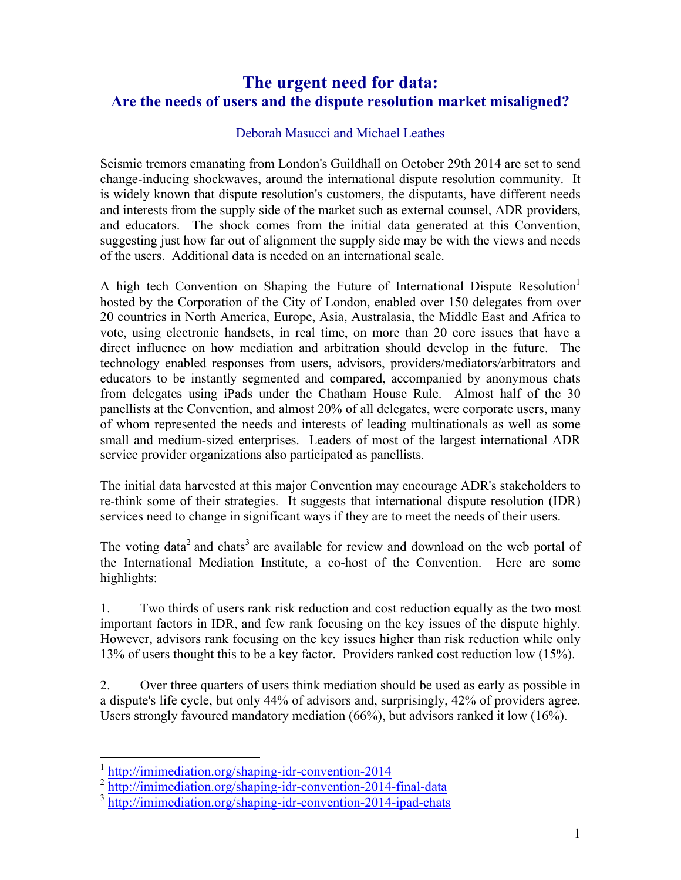## **The urgent need for data: Are the needs of users and the dispute resolution market misaligned?**

## Deborah Masucci and Michael Leathes

Seismic tremors emanating from London's Guildhall on October 29th 2014 are set to send change-inducing shockwaves, around the international dispute resolution community. It is widely known that dispute resolution's customers, the disputants, have different needs and interests from the supply side of the market such as external counsel, ADR providers, and educators. The shock comes from the initial data generated at this Convention, suggesting just how far out of alignment the supply side may be with the views and needs of the users. Additional data is needed on an international scale.

A high tech Convention on Shaping the Future of International Dispute Resolution hosted by the Corporation of the City of London, enabled over 150 delegates from over 20 countries in North America, Europe, Asia, Australasia, the Middle East and Africa to vote, using electronic handsets, in real time, on more than 20 core issues that have a direct influence on how mediation and arbitration should develop in the future. The technology enabled responses from users, advisors, providers/mediators/arbitrators and educators to be instantly segmented and compared, accompanied by anonymous chats from delegates using iPads under the Chatham House Rule. Almost half of the 30 panellists at the Convention, and almost 20% of all delegates, were corporate users, many of whom represented the needs and interests of leading multinationals as well as some small and medium-sized enterprises. Leaders of most of the largest international ADR service provider organizations also participated as panellists.

The initial data harvested at this major Convention may encourage ADR's stakeholders to re-think some of their strategies. It suggests that international dispute resolution (IDR) services need to change in significant ways if they are to meet the needs of their users.

The voting data<sup>2</sup> and chats<sup>3</sup> are available for review and download on the web portal of the International Mediation Institute, a co-host of the Convention. Here are some highlights:

1. Two thirds of users rank risk reduction and cost reduction equally as the two most important factors in IDR, and few rank focusing on the key issues of the dispute highly. However, advisors rank focusing on the key issues higher than risk reduction while only 13% of users thought this to be a key factor. Providers ranked cost reduction low (15%).

2. Over three quarters of users think mediation should be used as early as possible in a dispute's life cycle, but only 44% of advisors and, surprisingly, 42% of providers agree. Users strongly favoured mandatory mediation (66%), but advisors ranked it low (16%).

 <sup>1</sup> http://imimediation.org/shaping-idr-convention-2014

<sup>&</sup>lt;sup>2</sup> http://imimediation.org/shaping-idr-convention-2014-final-data

<sup>&</sup>lt;sup>3</sup> http://imimediation.org/shaping-idr-convention-2014-ipad-chats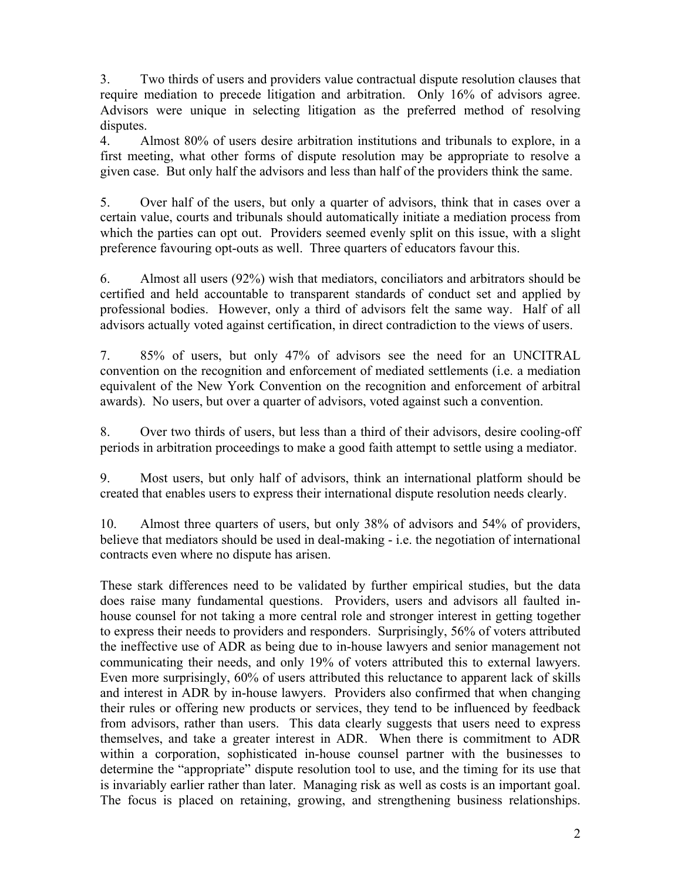3. Two thirds of users and providers value contractual dispute resolution clauses that require mediation to precede litigation and arbitration. Only 16% of advisors agree. Advisors were unique in selecting litigation as the preferred method of resolving disputes.

4. Almost 80% of users desire arbitration institutions and tribunals to explore, in a first meeting, what other forms of dispute resolution may be appropriate to resolve a given case. But only half the advisors and less than half of the providers think the same.

5. Over half of the users, but only a quarter of advisors, think that in cases over a certain value, courts and tribunals should automatically initiate a mediation process from which the parties can opt out. Providers seemed evenly split on this issue, with a slight preference favouring opt-outs as well. Three quarters of educators favour this.

6. Almost all users (92%) wish that mediators, conciliators and arbitrators should be certified and held accountable to transparent standards of conduct set and applied by professional bodies. However, only a third of advisors felt the same way. Half of all advisors actually voted against certification, in direct contradiction to the views of users.

7. 85% of users, but only 47% of advisors see the need for an UNCITRAL convention on the recognition and enforcement of mediated settlements (i.e. a mediation equivalent of the New York Convention on the recognition and enforcement of arbitral awards). No users, but over a quarter of advisors, voted against such a convention.

8. Over two thirds of users, but less than a third of their advisors, desire cooling-off periods in arbitration proceedings to make a good faith attempt to settle using a mediator.

9. Most users, but only half of advisors, think an international platform should be created that enables users to express their international dispute resolution needs clearly.

10. Almost three quarters of users, but only 38% of advisors and 54% of providers, believe that mediators should be used in deal-making - i.e. the negotiation of international contracts even where no dispute has arisen.

These stark differences need to be validated by further empirical studies, but the data does raise many fundamental questions. Providers, users and advisors all faulted inhouse counsel for not taking a more central role and stronger interest in getting together to express their needs to providers and responders. Surprisingly, 56% of voters attributed the ineffective use of ADR as being due to in-house lawyers and senior management not communicating their needs, and only 19% of voters attributed this to external lawyers. Even more surprisingly, 60% of users attributed this reluctance to apparent lack of skills and interest in ADR by in-house lawyers. Providers also confirmed that when changing their rules or offering new products or services, they tend to be influenced by feedback from advisors, rather than users. This data clearly suggests that users need to express themselves, and take a greater interest in ADR. When there is commitment to ADR within a corporation, sophisticated in-house counsel partner with the businesses to determine the "appropriate" dispute resolution tool to use, and the timing for its use that is invariably earlier rather than later. Managing risk as well as costs is an important goal. The focus is placed on retaining, growing, and strengthening business relationships.